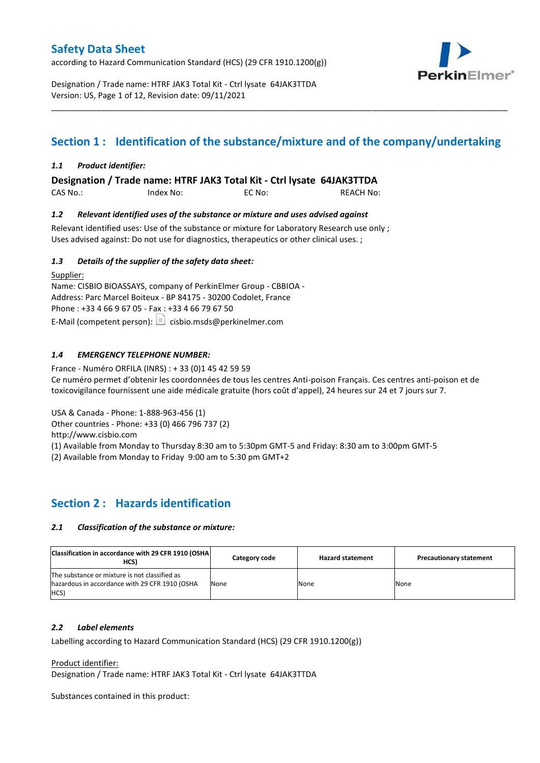according to Hazard Communication Standard (HCS) (29 CFR 1910.1200(g))



Designation / Trade name: HTRF JAK3 Total Kit - Ctrl lysate 64JAK3TTDA Version: US, Page 1 of 12, Revision date: 09/11/2021

## **Section 1 : Identification of the substance/mixture and of the company/undertaking**

\_\_\_\_\_\_\_\_\_\_\_\_\_\_\_\_\_\_\_\_\_\_\_\_\_\_\_\_\_\_\_\_\_\_\_\_\_\_\_\_\_\_\_\_\_\_\_\_\_\_\_\_\_\_\_\_\_\_\_\_\_\_\_\_\_\_\_\_\_\_\_\_\_\_\_\_\_\_\_\_\_\_\_\_\_\_\_\_\_\_\_\_\_\_\_\_\_\_\_\_\_

#### *1.1 Product identifier:*

**Designation / Trade name: HTRF JAK3 Total Kit - Ctrl lysate 64JAK3TTDA** 

CAS No.: Index No: EC No: REACH No:

#### *1.2 Relevant identified uses of the substance or mixture and uses advised against*

Relevant identified uses: Use of the substance or mixture for Laboratory Research use only ; Uses advised against: Do not use for diagnostics, therapeutics or other clinical uses. ;

#### *1.3 Details of the supplier of the safety data sheet:*

Supplier: Name: CISBIO BIOASSAYS, company of PerkinElmer Group - CBBIOA - Address: Parc Marcel Boiteux - BP 84175 - 30200 Codolet, France Phone : +33 4 66 9 67 05 - Fax : +33 4 66 79 67 50 E-Mail (competent person):  $\Box$  cisbio.msds@perkinelmer.com

#### *1.4 EMERGENCY TELEPHONE NUMBER:*

France - Numéro ORFILA (INRS) : + 33 (0)1 45 42 59 59 Ce numéro permet d'obtenir les coordonnées de tous les centres Anti-poison Français. Ces centres anti-poison et de toxicovigilance fournissent une aide médicale gratuite (hors coût d'appel), 24 heures sur 24 et 7 jours sur 7.

USA & Canada - Phone: 1-888-963-456 (1)

Other countries - Phone: +33 (0) 466 796 737 (2)

http://www.cisbio.com

(1) Available from Monday to Thursday 8:30 am to 5:30pm GMT-5 and Friday: 8:30 am to 3:00pm GMT-5

(2) Available from Monday to Friday 9:00 am to 5:30 pm GMT+2

### **Section 2 : Hazards identification**

#### *2.1 Classification of the substance or mixture:*

| Classification in accordance with 29 CFR 1910 (OSHA)<br>HCS)                                            | Category code | <b>Hazard statement</b> | <b>Precautionary statement</b> |
|---------------------------------------------------------------------------------------------------------|---------------|-------------------------|--------------------------------|
| The substance or mixture is not classified as<br>hazardous in accordance with 29 CFR 1910 (OSHA<br>HCS) | None          | None                    | None                           |

#### *2.2 Label elements*

Labelling according to Hazard Communication Standard (HCS) (29 CFR 1910.1200(g))

Product identifier:

Designation / Trade name: HTRF JAK3 Total Kit - Ctrl lysate 64JAK3TTDA

Substances contained in this product: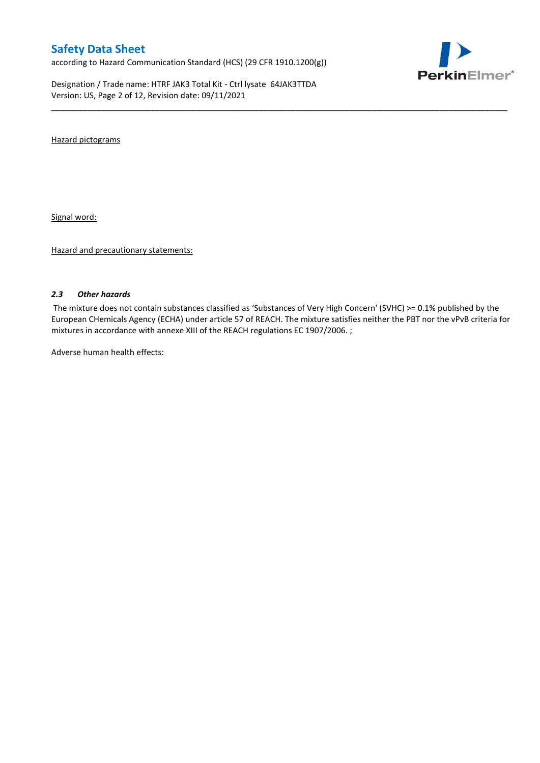according to Hazard Communication Standard (HCS) (29 CFR 1910.1200(g))

Designation / Trade name: HTRF JAK3 Total Kit - Ctrl lysate 64JAK3TTDA Version: US, Page 2 of 12, Revision date: 09/11/2021



Hazard pictograms

Signal word:

Hazard and precautionary statements:

#### *2.3 Other hazards*

The mixture does not contain substances classified as 'Substances of Very High Concern' (SVHC) >= 0.1% published by the European CHemicals Agency (ECHA) under article 57 of REACH. The mixture satisfies neither the PBT nor the vPvB criteria for mixtures in accordance with annexe XIII of the REACH regulations EC 1907/2006. ;

\_\_\_\_\_\_\_\_\_\_\_\_\_\_\_\_\_\_\_\_\_\_\_\_\_\_\_\_\_\_\_\_\_\_\_\_\_\_\_\_\_\_\_\_\_\_\_\_\_\_\_\_\_\_\_\_\_\_\_\_\_\_\_\_\_\_\_\_\_\_\_\_\_\_\_\_\_\_\_\_\_\_\_\_\_\_\_\_\_\_\_\_\_\_\_\_\_\_\_\_\_

Adverse human health effects: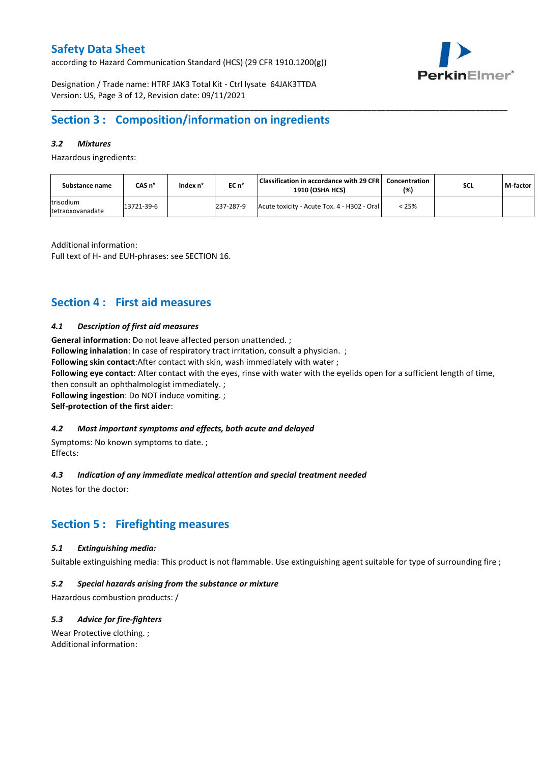according to Hazard Communication Standard (HCS) (29 CFR 1910.1200(g))



Designation / Trade name: HTRF JAK3 Total Kit - Ctrl lysate 64JAK3TTDA Version: US, Page 3 of 12, Revision date: 09/11/2021

### **Section 3 : Composition/information on ingredients**

#### *3.2 Mixtures*

Hazardous ingredients:

| Substance name                | CAS n°     | Index n° | $ECn$ <sup>°</sup> | Classification in accordance with 29 CFR<br><b>1910 (OSHA HCS)</b> | Concentration<br>(%) | <b>SCL</b> | M-factor |
|-------------------------------|------------|----------|--------------------|--------------------------------------------------------------------|----------------------|------------|----------|
| trisodium<br>tetraoxovanadate | 13721-39-6 |          | 237-287-9          | Acute toxicity - Acute Tox. 4 - H302 - Oral                        | < 25%                |            |          |

\_\_\_\_\_\_\_\_\_\_\_\_\_\_\_\_\_\_\_\_\_\_\_\_\_\_\_\_\_\_\_\_\_\_\_\_\_\_\_\_\_\_\_\_\_\_\_\_\_\_\_\_\_\_\_\_\_\_\_\_\_\_\_\_\_\_\_\_\_\_\_\_\_\_\_\_\_\_\_\_\_\_\_\_\_\_\_\_\_\_\_\_\_\_\_\_\_\_\_\_\_

Additional information:

Full text of H- and EUH-phrases: see SECTION 16.

### **Section 4 : First aid measures**

#### *4.1 Description of first aid measures*

**General information**: Do not leave affected person unattended. ;

**Following inhalation**: In case of respiratory tract irritation, consult a physician. ;

**Following skin contact**:After contact with skin, wash immediately with water ;

**Following eye contact**: After contact with the eyes, rinse with water with the eyelids open for a sufficient length of time,

then consult an ophthalmologist immediately. ;

**Following ingestion**: Do NOT induce vomiting. ;

**Self-protection of the first aider**:

#### *4.2 Most important symptoms and effects, both acute and delayed*

Symptoms: No known symptoms to date. ; Effects:

#### *4.3 Indication of any immediate medical attention and special treatment needed*

Notes for the doctor:

### **Section 5 : Firefighting measures**

#### *5.1 Extinguishing media:*

Suitable extinguishing media: This product is not flammable. Use extinguishing agent suitable for type of surrounding fire ;

#### *5.2 Special hazards arising from the substance or mixture*

Hazardous combustion products: /

#### *5.3 Advice for fire-fighters*

Wear Protective clothing. ; Additional information: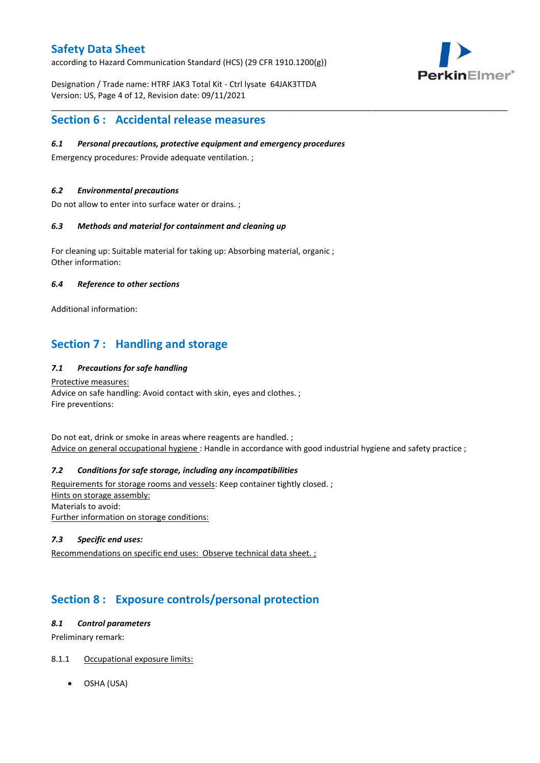according to Hazard Communication Standard (HCS) (29 CFR 1910.1200(g))



Designation / Trade name: HTRF JAK3 Total Kit - Ctrl lysate 64JAK3TTDA Version: US, Page 4 of 12, Revision date: 09/11/2021

### **Section 6 : Accidental release measures**

#### *6.1 Personal precautions, protective equipment and emergency procedures*

Emergency procedures: Provide adequate ventilation. ;

#### *6.2 Environmental precautions*

Do not allow to enter into surface water or drains. ;

#### *6.3 Methods and material for containment and cleaning up*

For cleaning up: Suitable material for taking up: Absorbing material, organic ; Other information:

#### *6.4 Reference to other sections*

Additional information:

### **Section 7 : Handling and storage**

#### *7.1 Precautions for safe handling*

Protective measures: Advice on safe handling: Avoid contact with skin, eyes and clothes. ; Fire preventions:

Do not eat, drink or smoke in areas where reagents are handled. ; Advice on general occupational hygiene: Handle in accordance with good industrial hygiene and safety practice ;

\_\_\_\_\_\_\_\_\_\_\_\_\_\_\_\_\_\_\_\_\_\_\_\_\_\_\_\_\_\_\_\_\_\_\_\_\_\_\_\_\_\_\_\_\_\_\_\_\_\_\_\_\_\_\_\_\_\_\_\_\_\_\_\_\_\_\_\_\_\_\_\_\_\_\_\_\_\_\_\_\_\_\_\_\_\_\_\_\_\_\_\_\_\_\_\_\_\_\_\_\_

#### *7.2 Conditions for safe storage, including any incompatibilities*

Requirements for storage rooms and vessels: Keep container tightly closed. ; Hints on storage assembly: Materials to avoid: Further information on storage conditions:

#### *7.3 Specific end uses:*

Recommendations on specific end uses: Observe technical data sheet. ;

### **Section 8 : Exposure controls/personal protection**

#### *8.1 Control parameters*

Preliminary remark:

#### 8.1.1 Occupational exposure limits:

OSHA (USA)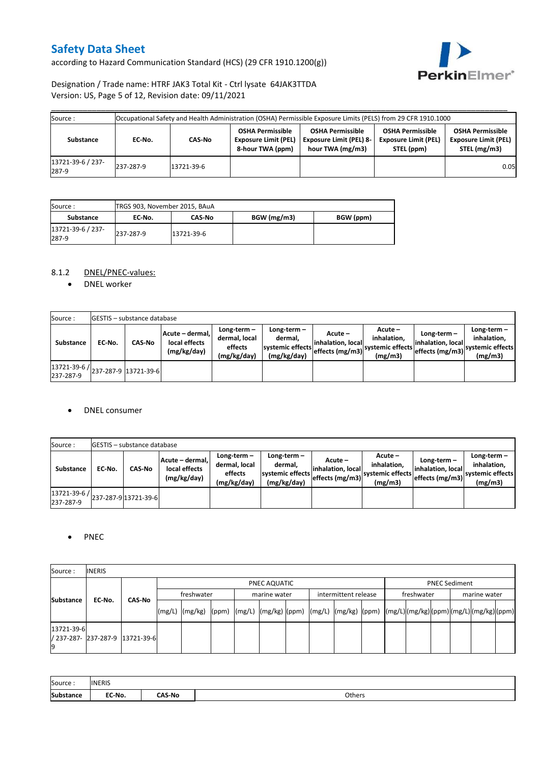according to Hazard Communication Standard (HCS) (29 CFR 1910.1200(g))



#### Designation / Trade name: HTRF JAK3 Total Kit - Ctrl lysate 64JAK3TTDA Version: US, Page 5 of 12, Revision date: 09/11/2021

| Source :                   |           |            |                                                                            | Occupational Safety and Health Administration (OSHA) Permissible Exposure Limits (PELS) from 29 CFR 1910.1000 |                                                                      |                                                                        |
|----------------------------|-----------|------------|----------------------------------------------------------------------------|---------------------------------------------------------------------------------------------------------------|----------------------------------------------------------------------|------------------------------------------------------------------------|
| Substance                  | EC-No.    | CAS-No     | <b>OSHA Permissible</b><br><b>Exposure Limit (PEL)</b><br>8-hour TWA (ppm) | <b>OSHA Permissible</b><br><b>Exposure Limit (PEL) 8-</b><br>hour TWA (mg/m3)                                 | <b>OSHA Permissible</b><br><b>Exposure Limit (PEL)</b><br>STEL (ppm) | <b>OSHA Permissible</b><br><b>Exposure Limit (PEL)</b><br>STEL (mg/m3) |
| 13721-39-6 / 237-<br>287-9 | 237-287-9 | 13721-39-6 |                                                                            |                                                                                                               |                                                                      | 0.05                                                                   |

| Source :                   | TRGS 903, November 2015, BAuA |               |             |           |  |  |  |  |  |  |  |
|----------------------------|-------------------------------|---------------|-------------|-----------|--|--|--|--|--|--|--|
| Substance                  | EC No.                        | <b>CAS No</b> | BGW (mg/m3) | BGW (ppm) |  |  |  |  |  |  |  |
| 13721-39-6 / 237-<br>287-9 | 237-287-9                     | 13721-39-6    |             |           |  |  |  |  |  |  |  |

#### 8.1.2 DNEL/PNEC-values:

• DNEL worker

| Source:                                                                                       |        | <b>IGESTIS - substance database</b> |                                                 |                                                          |                                                             |                                                  |                                                         |                                   |                                                                                                 |
|-----------------------------------------------------------------------------------------------|--------|-------------------------------------|-------------------------------------------------|----------------------------------------------------------|-------------------------------------------------------------|--------------------------------------------------|---------------------------------------------------------|-----------------------------------|-------------------------------------------------------------------------------------------------|
| Substance                                                                                     | EC-No. | <b>CAS-No</b>                       | Acute - dermal.<br>local effects<br>(mg/kg/day) | Long-term $-$<br>dermal, local<br>effects<br>(mg/kg/day) | $Long-term -$<br>dermal.<br>systemic effects<br>(mg/kg/day) | Acute –<br>linhalation. local<br>effects (mg/m3) | $Acute -$<br>inhalation.<br>systemic effects<br>(mg/m3) | Long-term-<br>linhalation. locall | Long-term $-$<br>inhalation,<br>----' effects (mg/m3)  <sup>systemic effects</sup> 1<br>(mg/m3) |
| $\left  \frac{13721 \cdot 39 \cdot 6}{237 \cdot 287 \cdot 9} \right $ 13721-39-6<br>237-287-9 |        |                                     |                                                 |                                                          |                                                             |                                                  |                                                         |                                   |                                                                                                 |

#### • DNEL consumer

| Source:                   |        | <b>GESTIS</b> - substance database |                                                 |                                                          |                                                             |                                                  |                                                       |                                                     |                                                          |
|---------------------------|--------|------------------------------------|-------------------------------------------------|----------------------------------------------------------|-------------------------------------------------------------|--------------------------------------------------|-------------------------------------------------------|-----------------------------------------------------|----------------------------------------------------------|
| <b>Substance</b>          | EC No. | <b>CAS-No</b>                      | Acute - dermal.<br>local effects<br>(mg/kg/day) | Long-term $-$<br>dermal, local<br>effects<br>(mg/kg/day) | Long-term $-$<br>dermal,<br>systemic effects<br>(mg/kg/day) | Acute –<br>linhalation. local<br>effects (mg/m3) | Acute -<br>inhalation.<br>systemic effects<br>(mg/m3) | Long-term-<br>linhalation. local<br>effects (mg/m3) | Long-term-<br>inhalation.<br>systemic effects<br>(mg/m3) |
| 13721-39-6 /<br>237-287-9 |        | 237-287-913721-39-6                |                                                 |                                                          |                                                             |                                                  |                                                       |                                                     |                                                          |

#### • PNEC

| Source:          | <b>INERIS</b>                   |               |            |                                                                                                                    |  |              |                                    |  |  |  |              |                      |  |  |
|------------------|---------------------------------|---------------|------------|--------------------------------------------------------------------------------------------------------------------|--|--------------|------------------------------------|--|--|--|--------------|----------------------|--|--|
| <b>Substance</b> | EC-No.                          |               |            |                                                                                                                    |  | PNEC AQUATIC |                                    |  |  |  |              | <b>PNEC Sediment</b> |  |  |
|                  |                                 | <b>CAS-No</b> | freshwater |                                                                                                                    |  | marine water | freshwater<br>intermittent release |  |  |  | marine water |                      |  |  |
|                  |                                 |               |            | [(mg/L)  (mg/kg)  (ppm)  (mg/L)  (mg/kg)  (ppm)  (mg/L)  (mg/kg)  (ppm)  (mg/L) (mg/kg) (ppm) (mg/L) (mg/kg) (ppm) |  |              |                                    |  |  |  |              |                      |  |  |
| 13721-39-6       | / 237-287- 237-287-9 13721-39-6 |               |            |                                                                                                                    |  |              |                                    |  |  |  |              |                      |  |  |

| Source:          | <b>INERIS</b> |        |        |
|------------------|---------------|--------|--------|
| <b>Substance</b> | EC-No.        | ົAS-No | Others |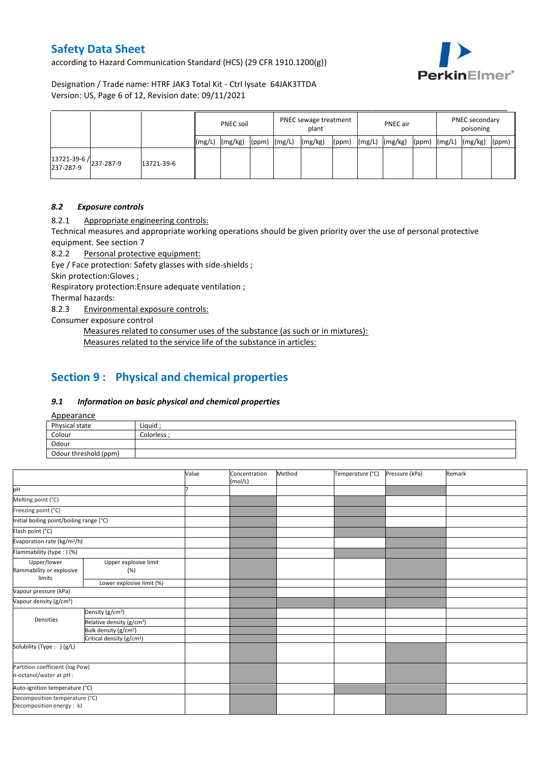according to Hazard Communication Standard (HCS) (29 CFR 1910.1200(g))



Designation / Trade name: HTRF JAK3 Total Kit - Ctrl lysate 64JAK3TTDA Version: US, Page 6 of 12, Revision date: 09/11/2021

|                                     |            |        | PNEC soil |       | PNEC sewage treatment<br>plant |         |       | <b>PNEC</b> air |         |       | PNEC secondary<br>poisoning |         |       |
|-------------------------------------|------------|--------|-----------|-------|--------------------------------|---------|-------|-----------------|---------|-------|-----------------------------|---------|-------|
|                                     |            | (mg/L) | (mg/kg)   | (ppm) | (mg/L)                         | (mg/kg) | (ppm) | (mg/L)          | (mg/kg) | (ppm) | (mg/L)                      | (mg/kg) | (ppm) |
| 13721-39-6 /<br>237-287-9 237-287-9 | 13721-39-6 |        |           |       |                                |         |       |                 |         |       |                             |         |       |

#### *8.2 Exposure controls*

8.2.1 Appropriate engineering controls:

Technical measures and appropriate working operations should be given priority over the use of personal protective equipment. See section 7

8.2.2 Personal protective equipment:

Eye / Face protection: Safety glasses with side-shields ;

Skin protection:Gloves ;

Respiratory protection:Ensure adequate ventilation ;

Thermal hazards:

8.2.3 Environmental exposure controls:

Consumer exposure control

Measures related to consumer uses of the substance (as such or in mixtures): Measures related to the service life of the substance in articles:

### **Section 9 : Physical and chemical properties**

#### *9.1 Information on basic physical and chemical properties*

Appearance

| $\frac{1}{2}$         |             |
|-----------------------|-------------|
| Physical state        | Liquid ;    |
| Colour                | Colorless · |
| Odour                 |             |
| Odour threshold (ppm) |             |

|                                                    |                                                             | Value | Concentration<br>(mol/L) | Method | Temperature (°C) | Pressure (kPa) | Remark |
|----------------------------------------------------|-------------------------------------------------------------|-------|--------------------------|--------|------------------|----------------|--------|
| pH                                                 |                                                             |       |                          |        |                  |                |        |
| Melting point (°C)                                 |                                                             |       |                          |        |                  |                |        |
| Freezing point (°C)                                |                                                             |       |                          |        |                  |                |        |
| Initial boiling point/boiling range (°C)           |                                                             |       |                          |        |                  |                |        |
| Flash point (°C)                                   |                                                             |       |                          |        |                  |                |        |
| Evaporation rate (kg/m <sup>2</sup> /h)            |                                                             |       |                          |        |                  |                |        |
| Flammability (type:) (%)                           |                                                             |       |                          |        |                  |                |        |
| Upper/lower<br>flammability or explosive<br>limits | Upper explosive limit<br>(%)                                |       |                          |        |                  |                |        |
|                                                    | Lower explosive limit (%)                                   |       |                          |        |                  |                |        |
| Vapour pressure (kPa)                              |                                                             |       |                          |        |                  |                |        |
| Vapour density (g/cm <sup>3</sup> )                |                                                             |       |                          |        |                  |                |        |
|                                                    | Density (g/cm <sup>3</sup> )                                |       |                          |        |                  |                |        |
| Densities                                          | Relative density (g/cm <sup>3</sup> )                       |       |                          |        |                  |                |        |
|                                                    | Bulk density (g/cm <sup>3</sup> )                           |       |                          |        |                  |                |        |
|                                                    | Critical density (g/cm <sup>3</sup> )                       |       |                          |        |                  |                |        |
| Solubility (Type: ) (g/L)                          |                                                             |       |                          |        |                  |                |        |
| Partition coefficient (log Pow)                    |                                                             |       |                          |        |                  |                |        |
| n-octanol/water at pH :                            |                                                             |       |                          |        |                  |                |        |
| Auto-ignition temperature (°C)                     |                                                             |       |                          |        |                  |                |        |
|                                                    | Decomposition temperature (°C)<br>Decomposition energy : kJ |       |                          |        |                  |                |        |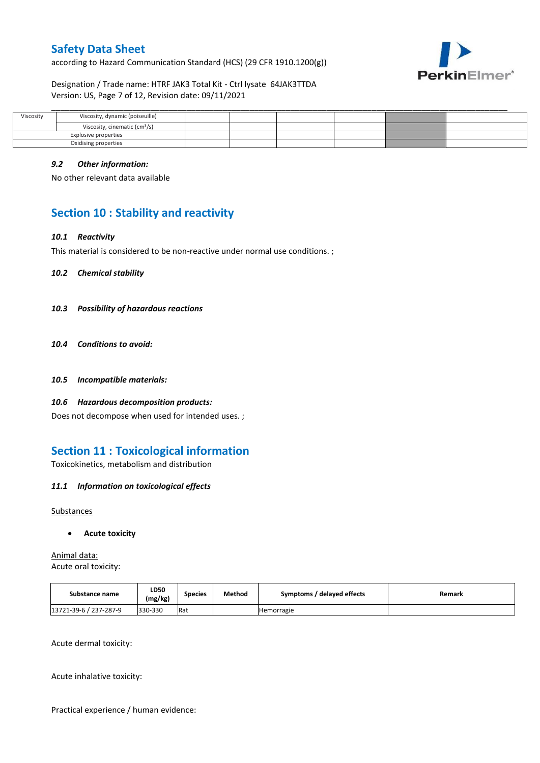according to Hazard Communication Standard (HCS) (29 CFR 1910.1200(g))



Designation / Trade name: HTRF JAK3 Total Kit - Ctrl lysate 64JAK3TTDA Version: US, Page 7 of 12, Revision date: 09/11/2021

| Viscosity | Viscosity, dynamic (poiseuille)           |  |  |  |
|-----------|-------------------------------------------|--|--|--|
|           | Viscosity, cinematic (cm <sup>3</sup> /s) |  |  |  |
|           | Explosive properties                      |  |  |  |
|           | Oxidising properties                      |  |  |  |

#### *9.2 Other information:*

No other relevant data available

### **Section 10 : Stability and reactivity**

#### *10.1 Reactivity*

This material is considered to be non-reactive under normal use conditions. ;

*10.2 Chemical stability*

- *10.3 Possibility of hazardous reactions*
- *10.4 Conditions to avoid:*
- *10.5 Incompatible materials:*
- *10.6 Hazardous decomposition products:*

Does not decompose when used for intended uses. ;

### **Section 11 : Toxicological information**

Toxicokinetics, metabolism and distribution

#### *11.1 Information on toxicological effects*

#### Substances

#### **Acute toxicity**

Animal data: Acute oral toxicity:

| Substance name         | LD50<br>(mg/kg) | <b>Species</b> | Method | Symptoms / delayed effects | Remark |
|------------------------|-----------------|----------------|--------|----------------------------|--------|
| 13721-39-6 / 237-287-9 | 330-330         | Rat            |        | <b>Hemorragie</b>          |        |

Acute dermal toxicity:

Acute inhalative toxicity:

Practical experience / human evidence: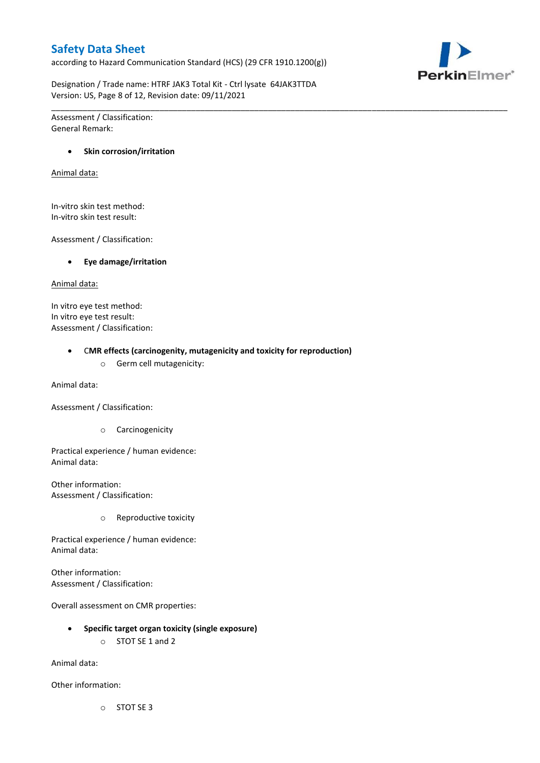according to Hazard Communication Standard (HCS) (29 CFR 1910.1200(g))



Designation / Trade name: HTRF JAK3 Total Kit - Ctrl lysate 64JAK3TTDA Version: US, Page 8 of 12, Revision date: 09/11/2021

\_\_\_\_\_\_\_\_\_\_\_\_\_\_\_\_\_\_\_\_\_\_\_\_\_\_\_\_\_\_\_\_\_\_\_\_\_\_\_\_\_\_\_\_\_\_\_\_\_\_\_\_\_\_\_\_\_\_\_\_\_\_\_\_\_\_\_\_\_\_\_\_\_\_\_\_\_\_\_\_\_\_\_\_\_\_\_\_\_\_\_\_\_\_\_\_\_\_\_\_\_

Assessment / Classification: General Remark:

#### **Skin corrosion/irritation**

Animal data:

In-vitro skin test method: In-vitro skin test result:

Assessment / Classification:

**Eye damage/irritation**

Animal data:

In vitro eye test method: In vitro eye test result: Assessment / Classification:

C**MR effects (carcinogenity, mutagenicity and toxicity for reproduction)**

o Germ cell mutagenicity:

Animal data:

Assessment / Classification:

o Carcinogenicity

Practical experience / human evidence: Animal data:

Other information: Assessment / Classification:

o Reproductive toxicity

Practical experience / human evidence: Animal data:

Other information: Assessment / Classification:

Overall assessment on CMR properties:

- **Specific target organ toxicity (single exposure)**
	- o STOT SE 1 and 2

Animal data:

Other information:

o STOT SE 3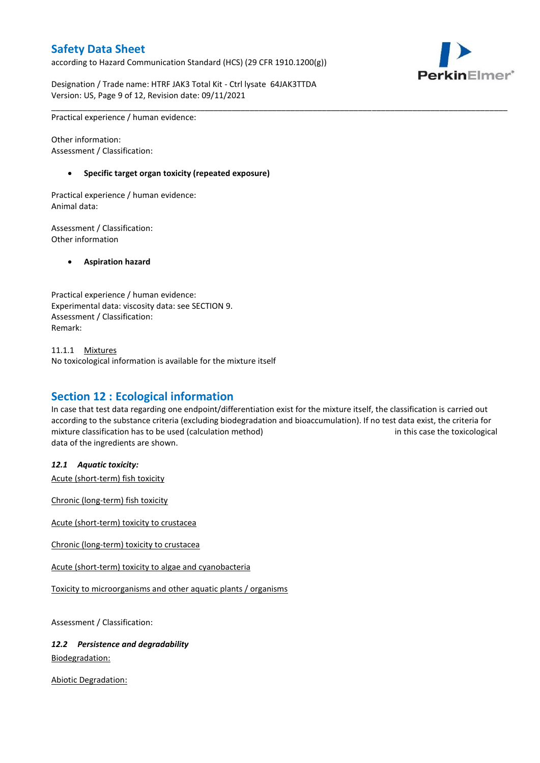according to Hazard Communication Standard (HCS) (29 CFR 1910.1200(g))



Designation / Trade name: HTRF JAK3 Total Kit - Ctrl lysate 64JAK3TTDA Version: US, Page 9 of 12, Revision date: 09/11/2021

\_\_\_\_\_\_\_\_\_\_\_\_\_\_\_\_\_\_\_\_\_\_\_\_\_\_\_\_\_\_\_\_\_\_\_\_\_\_\_\_\_\_\_\_\_\_\_\_\_\_\_\_\_\_\_\_\_\_\_\_\_\_\_\_\_\_\_\_\_\_\_\_\_\_\_\_\_\_\_\_\_\_\_\_\_\_\_\_\_\_\_\_\_\_\_\_\_\_\_\_\_ Practical experience / human evidence:

Other information: Assessment / Classification:

#### **Specific target organ toxicity (repeated exposure)**

Practical experience / human evidence: Animal data:

Assessment / Classification: Other information

**Aspiration hazard**

Practical experience / human evidence: Experimental data: viscosity data: see SECTION 9. Assessment / Classification: Remark:

11.1.1 Mixtures No toxicological information is available for the mixture itself

### **Section 12 : Ecological information**

In case that test data regarding one endpoint/differentiation exist for the mixture itself, the classification is carried out according to the substance criteria (excluding biodegradation and bioaccumulation). If no test data exist, the criteria for mixture classification has to be used (calculation method) in this case the toxicological data of the ingredients are shown.

#### *12.1 Aquatic toxicity:*

Acute (short-term) fish toxicity

Chronic (long-term) fish toxicity

Acute (short-term) toxicity to crustacea

Chronic (long-term) toxicity to crustacea

Acute (short-term) toxicity to algae and cyanobacteria

Toxicity to microorganisms and other aquatic plants / organisms

Assessment / Classification:

#### *12.2 Persistence and degradability*

Biodegradation:

Abiotic Degradation: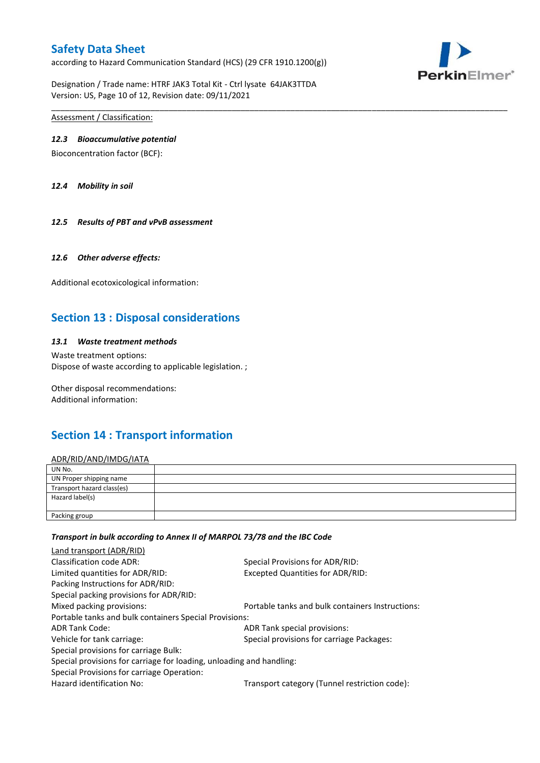according to Hazard Communication Standard (HCS) (29 CFR 1910.1200(g))



Designation / Trade name: HTRF JAK3 Total Kit - Ctrl lysate 64JAK3TTDA Version: US, Page 10 of 12, Revision date: 09/11/2021

Assessment / Classification:

#### *12.3 Bioaccumulative potential*

Bioconcentration factor (BCF):

*12.4 Mobility in soil*

*12.5 Results of PBT and vPvB assessment*

#### *12.6 Other adverse effects:*

Additional ecotoxicological information:

### **Section 13 : Disposal considerations**

#### *13.1 Waste treatment methods*

Waste treatment options: Dispose of waste according to applicable legislation. ;

Other disposal recommendations: Additional information:

### **Section 14 : Transport information**

#### ADR/RID/AND/IMDG/IATA

| UN No.                     |  |
|----------------------------|--|
| UN Proper shipping name    |  |
| Transport hazard class(es) |  |
| Hazard label(s)            |  |
| Packing group              |  |

\_\_\_\_\_\_\_\_\_\_\_\_\_\_\_\_\_\_\_\_\_\_\_\_\_\_\_\_\_\_\_\_\_\_\_\_\_\_\_\_\_\_\_\_\_\_\_\_\_\_\_\_\_\_\_\_\_\_\_\_\_\_\_\_\_\_\_\_\_\_\_\_\_\_\_\_\_\_\_\_\_\_\_\_\_\_\_\_\_\_\_\_\_\_\_\_\_\_\_\_\_

#### *Transport in bulk according to Annex II of MARPOL 73/78 and the IBC Code*

| Special Provisions for ADR/RID:                                      |  |  |  |  |
|----------------------------------------------------------------------|--|--|--|--|
| Excepted Quantities for ADR/RID:                                     |  |  |  |  |
|                                                                      |  |  |  |  |
|                                                                      |  |  |  |  |
| Portable tanks and bulk containers Instructions:                     |  |  |  |  |
| Portable tanks and bulk containers Special Provisions:               |  |  |  |  |
| ADR Tank special provisions:                                         |  |  |  |  |
| Special provisions for carriage Packages:                            |  |  |  |  |
|                                                                      |  |  |  |  |
| Special provisions for carriage for loading, unloading and handling: |  |  |  |  |
|                                                                      |  |  |  |  |
| Transport category (Tunnel restriction code):                        |  |  |  |  |
|                                                                      |  |  |  |  |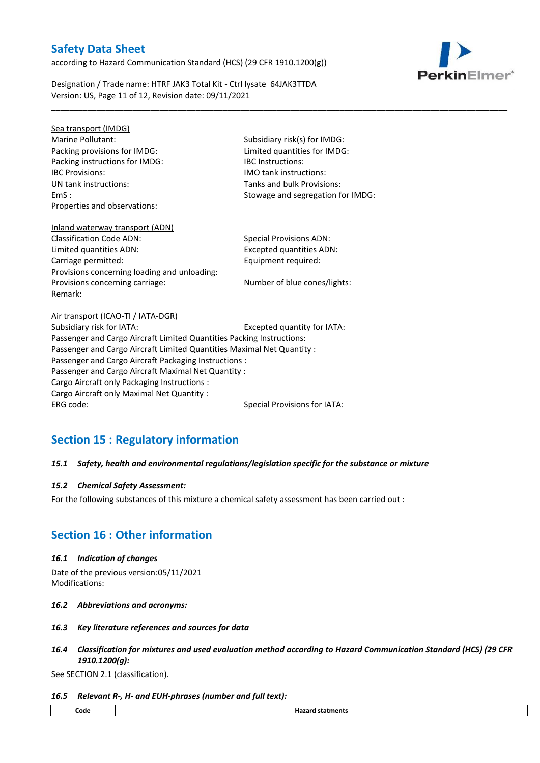according to Hazard Communication Standard (HCS) (29 CFR 1910.1200(g))

Designation / Trade name: HTRF JAK3 Total Kit - Ctrl lysate 64JAK3TTDA Version: US, Page 11 of 12, Revision date: 09/11/2021

Sea transport (IMDG) Marine Pollutant: Subsidiary risk(s) for IMDG: Packing provisions for IMDG: Limited quantities for IMDG: Packing instructions for IMDG: IBC Instructions: IBC Provisions: IMO tank instructions: UN tank instructions: Tanks and bulk Provisions: Properties and observations:

EmS : Stowage and segregation for IMDG:

\_\_\_\_\_\_\_\_\_\_\_\_\_\_\_\_\_\_\_\_\_\_\_\_\_\_\_\_\_\_\_\_\_\_\_\_\_\_\_\_\_\_\_\_\_\_\_\_\_\_\_\_\_\_\_\_\_\_\_\_\_\_\_\_\_\_\_\_\_\_\_\_\_\_\_\_\_\_\_\_\_\_\_\_\_\_\_\_\_\_\_\_\_\_\_\_\_\_\_\_\_

## Inland waterway transport (ADN) Classification Code ADN: Special Provisions ADN:

Limited quantities ADN: Excepted quantities ADN: Carriage permitted: Carriage permitted: Provisions concerning loading and unloading: Provisions concerning carriage: Number of blue cones/lights: Remark:

Air transport (ICAO-TI / IATA-DGR) Subsidiary risk for IATA: Excepted quantity for IATA: Passenger and Cargo Aircraft Limited Quantities Packing Instructions: Passenger and Cargo Aircraft Limited Quantities Maximal Net Quantity : Passenger and Cargo Aircraft Packaging Instructions : Passenger and Cargo Aircraft Maximal Net Quantity : Cargo Aircraft only Packaging Instructions : Cargo Aircraft only Maximal Net Quantity : ERG code: Special Provisions for IATA:

## **Section 15 : Regulatory information**

#### *15.1 Safety, health and environmental regulations/legislation specific for the substance or mixture*

#### *15.2 Chemical Safety Assessment:*

For the following substances of this mixture a chemical safety assessment has been carried out :

### **Section 16 : Other information**

#### *16.1 Indication of changes*

Date of the previous version:05/11/2021 Modifications:

- *16.2 Abbreviations and acronyms:*
- *16.3 Key literature references and sources for data*
- *16.4 Classification for mixtures and used evaluation method according to Hazard Communication Standard (HCS) (29 CFR 1910.1200(g):*

See SECTION 2.1 (classification).

#### *16.5 Relevant R-, H- and EUH-phrases (number and full text):*

| Code | .<br>statments<br>па.<br>.<br>. |
|------|---------------------------------|
|      |                                 |